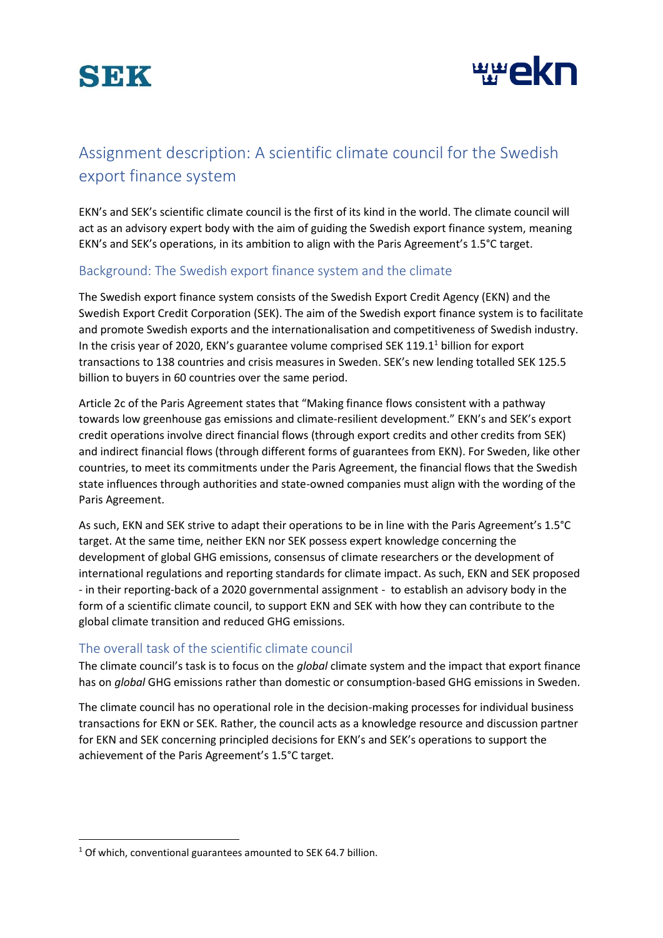



# Assignment description: A scientific climate council for the Swedish export finance system

EKN's and SEK's scientific climate council is the first of its kind in the world. The climate council will act as an advisory expert body with the aim of guiding the Swedish export finance system, meaning EKN's and SEK's operations, in its ambition to align with the Paris Agreement's 1.5°C target.

## Background: The Swedish export finance system and the climate

The Swedish export finance system consists of the Swedish Export Credit Agency (EKN) and the Swedish Export Credit Corporation (SEK). The aim of the Swedish export finance system is to facilitate and promote Swedish exports and the internationalisation and competitiveness of Swedish industry. In the crisis year of 2020, EKN's guarantee volume comprised SEK 119.1<sup>1</sup> billion for export transactions to 138 countries and crisis measures in Sweden. SEK's new lending totalled SEK 125.5 billion to buyers in 60 countries over the same period.

Article 2c of the Paris Agreement states that "Making finance flows consistent with a pathway towards low greenhouse gas emissions and climate-resilient development." EKN's and SEK's export credit operations involve direct financial flows (through export credits and other credits from SEK) and indirect financial flows (through different forms of guarantees from EKN). For Sweden, like other countries, to meet its commitments under the Paris Agreement, the financial flows that the Swedish state influences through authorities and state-owned companies must align with the wording of the Paris Agreement.

As such, EKN and SEK strive to adapt their operations to be in line with the Paris Agreement's 1.5°C target. At the same time, neither EKN nor SEK possess expert knowledge concerning the development of global GHG emissions, consensus of climate researchers or the development of international regulations and reporting standards for climate impact. As such, EKN and SEK proposed - in their reporting-back of a 2020 governmental assignment - to establish an advisory body in the form of a scientific climate council, to support EKN and SEK with how they can contribute to the global climate transition and reduced GHG emissions.

## The overall task of the scientific climate council

The climate council's task is to focus on the *global* climate system and the impact that export finance has on *global* GHG emissions rather than domestic or consumption-based GHG emissions in Sweden.

The climate council has no operational role in the decision-making processes for individual business transactions for EKN or SEK. Rather, the council acts as a knowledge resource and discussion partner for EKN and SEK concerning principled decisions for EKN's and SEK's operations to support the achievement of the Paris Agreement's 1.5°C target.

1

<sup>&</sup>lt;sup>1</sup> Of which, conventional guarantees amounted to SEK 64.7 billion.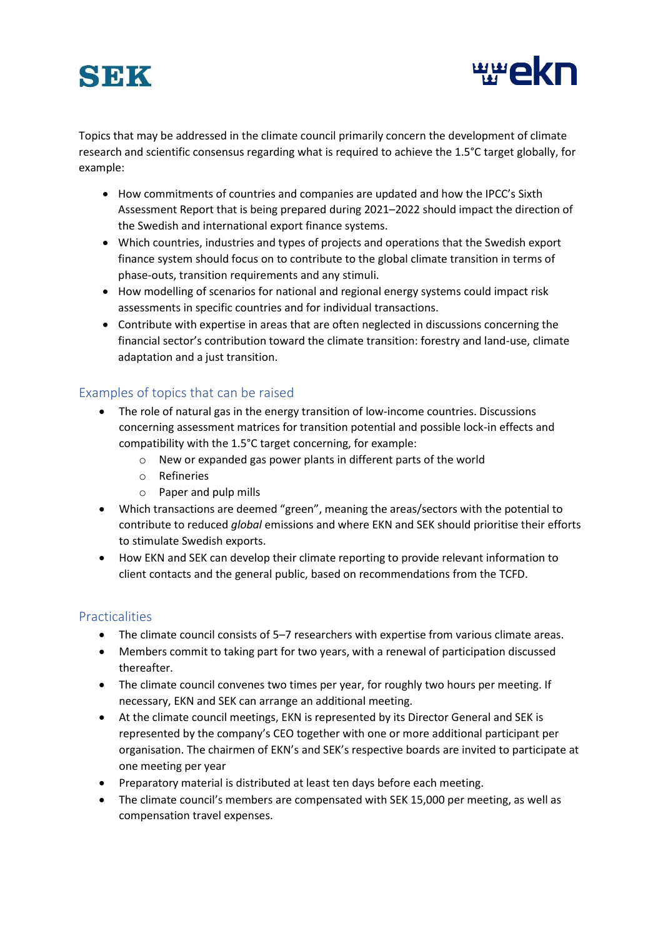



Topics that may be addressed in the climate council primarily concern the development of climate research and scientific consensus regarding what is required to achieve the 1.5°C target globally, for example:

- How commitments of countries and companies are updated and how the IPCC's Sixth Assessment Report that is being prepared during 2021–2022 should impact the direction of the Swedish and international export finance systems.
- Which countries, industries and types of projects and operations that the Swedish export finance system should focus on to contribute to the global climate transition in terms of phase-outs, transition requirements and any stimuli.
- How modelling of scenarios for national and regional energy systems could impact risk assessments in specific countries and for individual transactions.
- Contribute with expertise in areas that are often neglected in discussions concerning the financial sector's contribution toward the climate transition: forestry and land-use, climate adaptation and a just transition.

## Examples of topics that can be raised

- The role of natural gas in the energy transition of low-income countries. Discussions concerning assessment matrices for transition potential and possible lock-in effects and compatibility with the 1.5°C target concerning, for example:
	- o New or expanded gas power plants in different parts of the world
	- o Refineries
	- o Paper and pulp mills
- Which transactions are deemed "green", meaning the areas/sectors with the potential to contribute to reduced *global* emissions and where EKN and SEK should prioritise their efforts to stimulate Swedish exports.
- How EKN and SEK can develop their climate reporting to provide relevant information to client contacts and the general public, based on recommendations from the TCFD.

## Practicalities

- The climate council consists of 5–7 researchers with expertise from various climate areas.
- Members commit to taking part for two years, with a renewal of participation discussed thereafter.
- The climate council convenes two times per year, for roughly two hours per meeting. If necessary, EKN and SEK can arrange an additional meeting.
- At the climate council meetings, EKN is represented by its Director General and SEK is represented by the company's CEO together with one or more additional participant per organisation. The chairmen of EKN's and SEK's respective boards are invited to participate at one meeting per year
- Preparatory material is distributed at least ten days before each meeting.
- The climate council's members are compensated with SEK 15,000 per meeting, as well as compensation travel expenses.